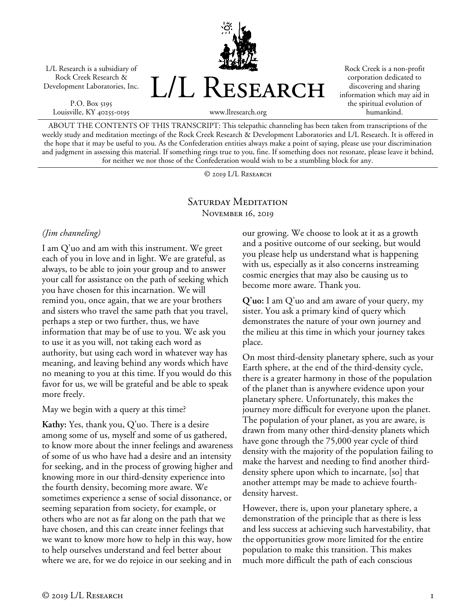L/L Research is a subsidiary of Rock Creek Research & Development Laboratories, Inc.

P.O. Box 5195 Louisville, KY 40255-0195



Rock Creek is a non-profit corporation dedicated to discovering and sharing information which may aid in the spiritual evolution of humankind.

www.llresearch.org

ABOUT THE CONTENTS OF THIS TRANSCRIPT: This telepathic channeling has been taken from transcriptions of the weekly study and meditation meetings of the Rock Creek Research & Development Laboratories and L/L Research. It is offered in the hope that it may be useful to you. As the Confederation entities always make a point of saying, please use your discrimination and judgment in assessing this material. If something rings true to you, fine. If something does not resonate, please leave it behind, for neither we nor those of the Confederation would wish to be a stumbling block for any.

© 2019 L/L Research

## SATURDAY MEDITATION November 16, 2019

## *(Jim channeling)*

I am Q'uo and am with this instrument. We greet each of you in love and in light. We are grateful, as always, to be able to join your group and to answer your call for assistance on the path of seeking which you have chosen for this incarnation. We will remind you, once again, that we are your brothers and sisters who travel the same path that you travel, perhaps a step or two further, thus, we have information that may be of use to you. We ask you to use it as you will, not taking each word as authority, but using each word in whatever way has meaning, and leaving behind any words which have no meaning to you at this time. If you would do this favor for us, we will be grateful and be able to speak more freely.

May we begin with a query at this time?

**Kathy:** Yes, thank you, Q'uo. There is a desire among some of us, myself and some of us gathered, to know more about the inner feelings and awareness of some of us who have had a desire and an intensity for seeking, and in the process of growing higher and knowing more in our third-density experience into the fourth density, becoming more aware. We sometimes experience a sense of social dissonance, or seeming separation from society, for example, or others who are not as far along on the path that we have chosen, and this can create inner feelings that we want to know more how to help in this way, how to help ourselves understand and feel better about where we are, for we do rejoice in our seeking and in

our growing. We choose to look at it as a growth and a positive outcome of our seeking, but would you please help us understand what is happening with us, especially as it also concerns instreaming cosmic energies that may also be causing us to become more aware. Thank you.

**Q'uo:** I am Q'uo and am aware of your query, my sister. You ask a primary kind of query which demonstrates the nature of your own journey and the milieu at this time in which your journey takes place.

On most third-density planetary sphere, such as your Earth sphere, at the end of the third-density cycle, there is a greater harmony in those of the population of the planet than is anywhere evidence upon your planetary sphere. Unfortunately, this makes the journey more difficult for everyone upon the planet. The population of your planet, as you are aware, is drawn from many other third-density planets which have gone through the 75,000 year cycle of third density with the majority of the population failing to make the harvest and needing to find another thirddensity sphere upon which to incarnate, [so] that another attempt may be made to achieve fourthdensity harvest.

However, there is, upon your planetary sphere, a demonstration of the principle that as there is less and less success at achieving such harvestability, that the opportunities grow more limited for the entire population to make this transition. This makes much more difficult the path of each conscious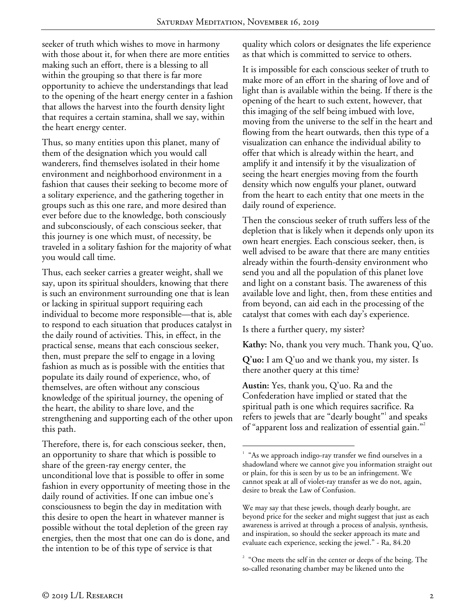seeker of truth which wishes to move in harmony with those about it, for when there are more entities making such an effort, there is a blessing to all within the grouping so that there is far more opportunity to achieve the understandings that lead to the opening of the heart energy center in a fashion that allows the harvest into the fourth density light that requires a certain stamina, shall we say, within the heart energy center.

Thus, so many entities upon this planet, many of them of the designation which you would call wanderers, find themselves isolated in their home environment and neighborhood environment in a fashion that causes their seeking to become more of a solitary experience, and the gathering together in groups such as this one rare, and more desired than ever before due to the knowledge, both consciously and subconsciously, of each conscious seeker, that this journey is one which must, of necessity, be traveled in a solitary fashion for the majority of what you would call time.

Thus, each seeker carries a greater weight, shall we say, upon its spiritual shoulders, knowing that there is such an environment surrounding one that is lean or lacking in spiritual support requiring each individual to become more responsible—that is, able to respond to each situation that produces catalyst in the daily round of activities. This, in effect, in the practical sense, means that each conscious seeker, then, must prepare the self to engage in a loving fashion as much as is possible with the entities that populate its daily round of experience, who, of themselves, are often without any conscious knowledge of the spiritual journey, the opening of the heart, the ability to share love, and the strengthening and supporting each of the other upon this path.

Therefore, there is, for each conscious seeker, then, an opportunity to share that which is possible to share of the green-ray energy center, the unconditional love that is possible to offer in some fashion in every opportunity of meeting those in the daily round of activities. If one can imbue one's consciousness to begin the day in meditation with this desire to open the heart in whatever manner is possible without the total depletion of the green ray energies, then the most that one can do is done, and the intention to be of this type of service is that

quality which colors or designates the life experience as that which is committed to service to others.

It is impossible for each conscious seeker of truth to make more of an effort in the sharing of love and of light than is available within the being. If there is the opening of the heart to such extent, however, that this imaging of the self being imbued with love, moving from the universe to the self in the heart and flowing from the heart outwards, then this type of a visualization can enhance the individual ability to offer that which is already within the heart, and amplify it and intensify it by the visualization of seeing the heart energies moving from the fourth density which now engulfs your planet, outward from the heart to each entity that one meets in the daily round of experience.

Then the conscious seeker of truth suffers less of the depletion that is likely when it depends only upon its own heart energies. Each conscious seeker, then, is well advised to be aware that there are many entities already within the fourth-density environment who send you and all the population of this planet love and light on a constant basis. The awareness of this available love and light, then, from these entities and from beyond, can aid each in the processing of the catalyst that comes with each day's experience.

Is there a further query, my sister?

**Kathy:** No, thank you very much. Thank you, Q'uo.

**Q'uo:** I am Q'uo and we thank you, my sister. Is there another query at this time?

**Austin:** Yes, thank you, Q'uo. Ra and the Confederation have implied or stated that the spiritual path is one which requires sacrifice. Ra refers to jewels that are "dearly bought"<sup>1</sup> and speaks of "apparent loss and realization of essential gain."<sup>2</sup>

We may say that these jewels, though dearly bought, are beyond price for the seeker and might suggest that just as each awareness is arrived at through a process of analysis, synthesis, and inspiration, so should the seeker approach its mate and evaluate each experience, seeking the jewel." - Ra, 84.20

 $\frac{1}{1}$ <sup>1</sup> "As we approach indigo-ray transfer we find ourselves in a shadowland where we cannot give you information straight out or plain, for this is seen by us to be an infringement. We cannot speak at all of violet-ray transfer as we do not, again, desire to break the Law of Confusion.

 $2^{\circ}$  "One meets the self in the center or deeps of the being. The so-called resonating chamber may be likened unto the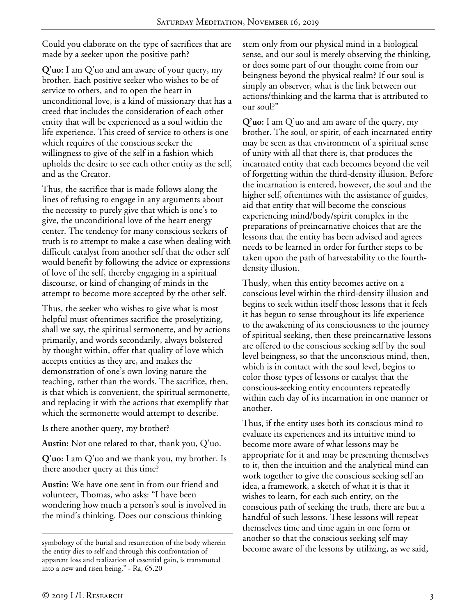Could you elaborate on the type of sacrifices that are made by a seeker upon the positive path?

**Q'uo:** I am Q'uo and am aware of your query, my brother. Each positive seeker who wishes to be of service to others, and to open the heart in unconditional love, is a kind of missionary that has a creed that includes the consideration of each other entity that will be experienced as a soul within the life experience. This creed of service to others is one which requires of the conscious seeker the willingness to give of the self in a fashion which upholds the desire to see each other entity as the self, and as the Creator.

Thus, the sacrifice that is made follows along the lines of refusing to engage in any arguments about the necessity to purely give that which is one's to give, the unconditional love of the heart energy center. The tendency for many conscious seekers of truth is to attempt to make a case when dealing with difficult catalyst from another self that the other self would benefit by following the advice or expressions of love of the self, thereby engaging in a spiritual discourse, or kind of changing of minds in the attempt to become more accepted by the other self.

Thus, the seeker who wishes to give what is most helpful must oftentimes sacrifice the proselytizing, shall we say, the spiritual sermonette, and by actions primarily, and words secondarily, always bolstered by thought within, offer that quality of love which accepts entities as they are, and makes the demonstration of one's own loving nature the teaching, rather than the words. The sacrifice, then, is that which is convenient, the spiritual sermonette, and replacing it with the actions that exemplify that which the sermonette would attempt to describe.

Is there another query, my brother?

**Austin:** Not one related to that, thank you, Q'uo.

**Q'uo:** I am Q'uo and we thank you, my brother. Is there another query at this time?

**Austin:** We have one sent in from our friend and volunteer, Thomas, who asks: "I have been wondering how much a person's soul is involved in the mind's thinking. Does our conscious thinking

stem only from our physical mind in a biological sense, and our soul is merely observing the thinking, or does some part of our thought come from our beingness beyond the physical realm? If our soul is simply an observer, what is the link between our actions/thinking and the karma that is attributed to our soul?"

**Q'uo:** I am Q'uo and am aware of the query, my brother. The soul, or spirit, of each incarnated entity may be seen as that environment of a spiritual sense of unity with all that there is, that produces the incarnated entity that each becomes beyond the veil of forgetting within the third-density illusion. Before the incarnation is entered, however, the soul and the higher self, oftentimes with the assistance of guides, aid that entity that will become the conscious experiencing mind/body/spirit complex in the preparations of preincarnative choices that are the lessons that the entity has been advised and agrees needs to be learned in order for further steps to be taken upon the path of harvestability to the fourthdensity illusion.

Thusly, when this entity becomes active on a conscious level within the third-density illusion and begins to seek within itself those lessons that it feels it has begun to sense throughout its life experience to the awakening of its consciousness to the journey of spiritual seeking, then these preincarnative lessons are offered to the conscious seeking self by the soul level beingness, so that the unconscious mind, then, which is in contact with the soul level, begins to color those types of lessons or catalyst that the conscious-seeking entity encounters repeatedly within each day of its incarnation in one manner or another.

Thus, if the entity uses both its conscious mind to evaluate its experiences and its intuitive mind to become more aware of what lessons may be appropriate for it and may be presenting themselves to it, then the intuition and the analytical mind can work together to give the conscious seeking self an idea, a framework, a sketch of what it is that it wishes to learn, for each such entity, on the conscious path of seeking the truth, there are but a handful of such lessons. These lessons will repeat themselves time and time again in one form or another so that the conscious seeking self may become aware of the lessons by utilizing, as we said,

symbology of the burial and resurrection of the body wherein the entity dies to self and through this confrontation of apparent loss and realization of essential gain, is transmuted into a new and risen being." - Ra, 65.20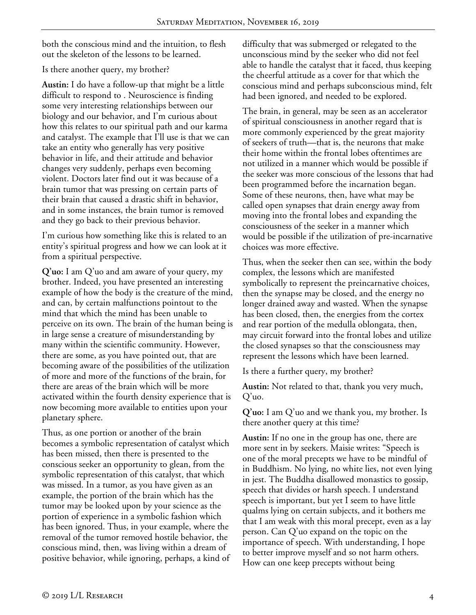both the conscious mind and the intuition, to flesh out the skeleton of the lessons to be learned.

## Is there another query, my brother?

**Austin:** I do have a follow-up that might be a little difficult to respond to . Neuroscience is finding some very interesting relationships between our biology and our behavior, and I'm curious about how this relates to our spiritual path and our karma and catalyst. The example that I'll use is that we can take an entity who generally has very positive behavior in life, and their attitude and behavior changes very suddenly, perhaps even becoming violent. Doctors later find out it was because of a brain tumor that was pressing on certain parts of their brain that caused a drastic shift in behavior, and in some instances, the brain tumor is removed and they go back to their previous behavior.

I'm curious how something like this is related to an entity's spiritual progress and how we can look at it from a spiritual perspective.

**Q'uo:** I am Q'uo and am aware of your query, my brother. Indeed, you have presented an interesting example of how the body is the creature of the mind, and can, by certain malfunctions pointout to the mind that which the mind has been unable to perceive on its own. The brain of the human being is in large sense a creature of misunderstanding by many within the scientific community. However, there are some, as you have pointed out, that are becoming aware of the possibilities of the utilization of more and more of the functions of the brain, for there are areas of the brain which will be more activated within the fourth density experience that is now becoming more available to entities upon your planetary sphere.

Thus, as one portion or another of the brain becomes a symbolic representation of catalyst which has been missed, then there is presented to the conscious seeker an opportunity to glean, from the symbolic representation of this catalyst, that which was missed. In a tumor, as you have given as an example, the portion of the brain which has the tumor may be looked upon by your science as the portion of experience in a symbolic fashion which has been ignored. Thus, in your example, where the removal of the tumor removed hostile behavior, the conscious mind, then, was living within a dream of positive behavior, while ignoring, perhaps, a kind of difficulty that was submerged or relegated to the unconscious mind by the seeker who did not feel able to handle the catalyst that it faced, thus keeping the cheerful attitude as a cover for that which the conscious mind and perhaps subconscious mind, felt had been ignored, and needed to be explored.

The brain, in general, may be seen as an accelerator of spiritual consciousness in another regard that is more commonly experienced by the great majority of seekers of truth—that is, the neurons that make their home within the frontal lobes oftentimes are not utilized in a manner which would be possible if the seeker was more conscious of the lessons that had been programmed before the incarnation began. Some of these neurons, then, have what may be called open synapses that drain energy away from moving into the frontal lobes and expanding the consciousness of the seeker in a manner which would be possible if the utilization of pre-incarnative choices was more effective.

Thus, when the seeker then can see, within the body complex, the lessons which are manifested symbolically to represent the preincarnative choices, then the synapse may be closed, and the energy no longer drained away and wasted. When the synapse has been closed, then, the energies from the cortex and rear portion of the medulla oblongata, then, may circuit forward into the frontal lobes and utilize the closed synapses so that the consciousness may represent the lessons which have been learned.

Is there a further query, my brother?

**Austin:** Not related to that, thank you very much, Q'uo.

**Q'uo:** I am Q'uo and we thank you, my brother. Is there another query at this time?

**Austin:** If no one in the group has one, there are more sent in by seekers. Maisie writes: "Speech is one of the moral precepts we have to be mindful of in Buddhism. No lying, no white lies, not even lying in jest. The Buddha disallowed monastics to gossip, speech that divides or harsh speech. I understand speech is important, but yet I seem to have little qualms lying on certain subjects, and it bothers me that I am weak with this moral precept, even as a lay person. Can Q'uo expand on the topic on the importance of speech. With understanding, I hope to better improve myself and so not harm others. How can one keep precepts without being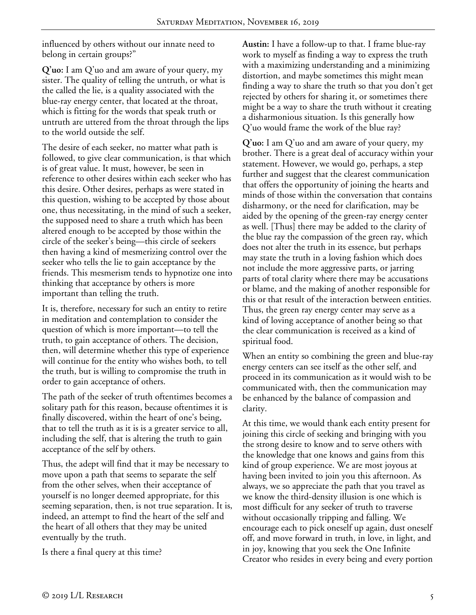influenced by others without our innate need to belong in certain groups?"

**Q'uo:** I am Q'uo and am aware of your query, my sister. The quality of telling the untruth, or what is the called the lie, is a quality associated with the blue-ray energy center, that located at the throat, which is fitting for the words that speak truth or untruth are uttered from the throat through the lips to the world outside the self.

The desire of each seeker, no matter what path is followed, to give clear communication, is that which is of great value. It must, however, be seen in reference to other desires within each seeker who has this desire. Other desires, perhaps as were stated in this question, wishing to be accepted by those about one, thus necessitating, in the mind of such a seeker, the supposed need to share a truth which has been altered enough to be accepted by those within the circle of the seeker's being—this circle of seekers then having a kind of mesmerizing control over the seeker who tells the lie to gain acceptance by the friends. This mesmerism tends to hypnotize one into thinking that acceptance by others is more important than telling the truth.

It is, therefore, necessary for such an entity to retire in meditation and contemplation to consider the question of which is more important—to tell the truth, to gain acceptance of others. The decision, then, will determine whether this type of experience will continue for the entity who wishes both, to tell the truth, but is willing to compromise the truth in order to gain acceptance of others.

The path of the seeker of truth oftentimes becomes a solitary path for this reason, because oftentimes it is finally discovered, within the heart of one's being, that to tell the truth as it is is a greater service to all, including the self, that is altering the truth to gain acceptance of the self by others.

Thus, the adept will find that it may be necessary to move upon a path that seems to separate the self from the other selves, when their acceptance of yourself is no longer deemed appropriate, for this seeming separation, then, is not true separation. It is, indeed, an attempt to find the heart of the self and the heart of all others that they may be united eventually by the truth.

Is there a final query at this time?

**Austin:** I have a follow-up to that. I frame blue-ray work to myself as finding a way to express the truth with a maximizing understanding and a minimizing distortion, and maybe sometimes this might mean finding a way to share the truth so that you don't get rejected by others for sharing it, or sometimes there might be a way to share the truth without it creating a disharmonious situation. Is this generally how Q'uo would frame the work of the blue ray?

**Q'uo:** I am Q'uo and am aware of your query, my brother. There is a great deal of accuracy within your statement. However, we would go, perhaps, a step further and suggest that the clearest communication that offers the opportunity of joining the hearts and minds of those within the conversation that contains disharmony, or the need for clarification, may be aided by the opening of the green-ray energy center as well. [Thus] there may be added to the clarity of the blue ray the compassion of the green ray, which does not alter the truth in its essence, but perhaps may state the truth in a loving fashion which does not include the more aggressive parts, or jarring parts of total clarity where there may be accusations or blame, and the making of another responsible for this or that result of the interaction between entities. Thus, the green ray energy center may serve as a kind of loving acceptance of another being so that the clear communication is received as a kind of spiritual food.

When an entity so combining the green and blue-ray energy centers can see itself as the other self, and proceed in its communication as it would wish to be communicated with, then the communication may be enhanced by the balance of compassion and clarity.

At this time, we would thank each entity present for joining this circle of seeking and bringing with you the strong desire to know and to serve others with the knowledge that one knows and gains from this kind of group experience. We are most joyous at having been invited to join you this afternoon. As always, we so appreciate the path that you travel as we know the third-density illusion is one which is most difficult for any seeker of truth to traverse without occasionally tripping and falling. We encourage each to pick oneself up again, dust oneself off, and move forward in truth, in love, in light, and in joy, knowing that you seek the One Infinite Creator who resides in every being and every portion